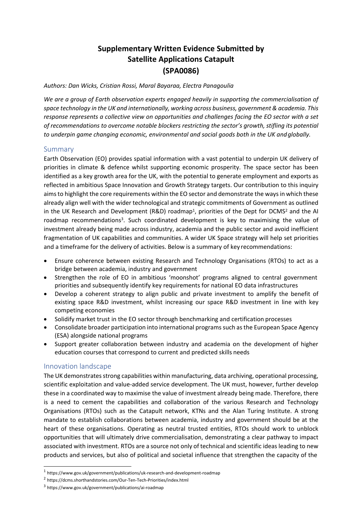# **Supplementary Written Evidence Submitted by Satellite Applications Catapult (SPA0086)**

*Authors: Dan Wicks, Cristian Rossi, Maral Bayaraa, Electra Panagoulia*

*We are a group of Earth observation experts engaged heavily in supporting the commercialisation of space technology in the UK and internationally, working across business, government & academia. This response represents a collective view on opportunities and challenges facing the EO sector with a set of recommendations to overcome notable blockers restricting the sector's growth, stifling its potential to underpin game changing economic, environmental and social goods both in the UK andglobally.*

## Summary

Earth Observation (EO) provides spatial information with a vast potential to underpin UK delivery of priorities in climate & defence whilst supporting economic prosperity. The space sector has been identified as a key growth area for the UK, with the potential to generate employment and exports as reflected in ambitious Space Innovation and Growth Strategy targets. Our contribution to this inquiry aims to highlight the core requirements within the EO sector and demonstrate the ways in which these already align well with the wider technological and strategic commitments of Government as outlined in the UK Research and Development (R&D) roadmap<sup>1</sup>, priorities of the Dept for DCMS<sup>2</sup> and the AI roadmap recommendations<sup>3</sup>. Such coordinated development is key to maximising the value of investment already being made across industry, academia and the public sector and avoid inefficient fragmentation of UK capabilities and communities. A wider UK Space strategy will help set priorities and a timeframe for the delivery of activities. Below is a summary of key recommendations:

- Ensure coherence between existing Research and Technology Organisations (RTOs) to act as a bridge between academia, industry and government
- Strengthen the role of EO in ambitious 'moonshot' programs aligned to central government priorities and subsequently identify key requirements for national EO data infrastructures
- Develop a coherent strategy to align public and private investment to amplify the benefit of existing space R&D investment, whilst increasing our space R&D investment in line with key competing economies
- Solidify market trust in the EO sector through benchmarking and certification processes
- Consolidate broader participation into international programs such asthe European Space Agency (ESA) alongside national programs
- Support greater collaboration between industry and academia on the development of higher education courses that correspond to current and predicted skills needs

# Innovation landscape

The UK demonstrates strong capabilities within manufacturing, data archiving, operational processing, scientific exploitation and value-added service development. The UK must, however, further develop these in a coordinated way to maximise the value of investment already being made. Therefore, there is a need to cement the capabilities and collaboration of the various Research and Technology Organisations (RTOs) such as the Catapult network, KTNs and the Alan Turing Institute. A strong mandate to establish collaborations between academia, industry and government should be at the heart of these organisations. Operating as neutral trusted entities, RTOs should work to unblock opportunities that will ultimately drive commercialisation, demonstrating a clear pathway to impact associated with investment. RTOs are a source not only of technical and scientific ideas leading to new products and services, but also of political and societal influence that strengthen the capacity of the

<sup>&</sup>lt;sup>1</sup> http[s://www.gov.uk/government/publications/uk-research-and-development-roadmap](http://www.gov.uk/government/publications/uk-research-and-development-roadmap)

<sup>2</sup> https://dcms.shorthandstories.com/Our-Ten-Tech-Priorities/index.html

<sup>3</sup> http[s://www.gov.uk/government/publications/ai-roadmap](http://www.gov.uk/government/publications/ai-roadmap)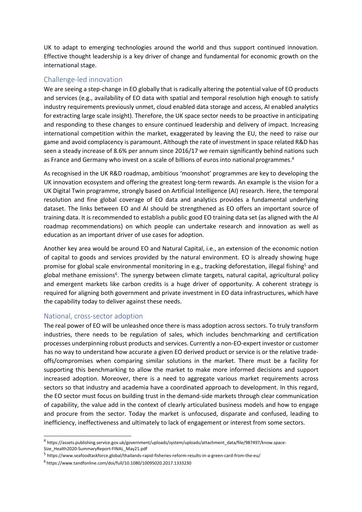UK to adapt to emerging technologies around the world and thus support continued innovation. Effective thought leadership is a key driver of change and fundamental for economic growth on the international stage.

## Challenge-led innovation

We are seeing a step-change in EO globally that is radically altering the potential value of EO products and services (e.g., availability of EO data with spatial and temporal resolution high enough to satisfy industry requirements previously unmet, cloud enabled data storage and access, AI enabled analytics for extracting large scale insight). Therefore, the UK space sector needs to be proactive in anticipating and responding to these changes to ensure continued leadership and delivery of impact. Increasing international competition within the market, exaggerated by leaving the EU, the need to raise our game and avoid complacency is paramount. Although the rate of investment in space related R&D has seen a steady increase of 8.6% per annum since 2016/17 we remain significantly behind nations such as France and Germany who invest on a scale of billions of euros into national programmes.<sup>4</sup>

As recognised in the UK R&D roadmap, ambitious 'moonshot' programmes are key to developing the UK innovation ecosystem and offering the greatest long-term rewards. An example is the vision for a UK Digital Twin programme, strongly based on Artificial Intelligence (AI) research. Here, the temporal resolution and fine global coverage of EO data and analytics provides a fundamental underlying dataset. The links between EO and AI should be strengthened as EO offers an important source of training data. It is recommended to establish a public good EO training data set (as aligned with the AI roadmap recommendations) on which people can undertake research and innovation as well as education as an important driver of use cases for adoption.

Another key area would be around EO and Natural Capital, i.e., an extension of the economic notion of capital to goods and services provided by the natural environment. EO is already showing huge promise for global scale environmental monitoring in e.g., tracking deforestation, illegal fishing<sup>5</sup> and global methane emissions<sup>6</sup>. The synergy between climate targets, natural capital, agricultural policy and emergent markets like carbon credits is a huge driver of opportunity. A coherent strategy is required for aligning both government and private investment in EO data infrastructures, which have the capability today to deliver against these needs.

#### National, cross-sector adoption

The real power of EO will be unleashed once there is mass adoption across sectors. To truly transform industries, there needs to be regulation of sales, which includes benchmarking and certification processes underpinning robust products and services. Currently a non-EO-expert investor or customer has no way to understand how accurate a given EO derived product or service is or the relative tradeoffs/compromises when comparing similar solutions in the market. There must be a facility for supporting this benchmarking to allow the market to make more informed decisions and support increased adoption. Moreover, there is a need to aggregate various market requirements across sectors so that industry and academia have a coordinated approach to development. In this regard, the EO sector must focus on building trust in the demand-side markets through clear communication of capability, the value add in the context of clearly articulated business models and how to engage and procure from the sector. Today the market is unfocused, disparate and confused, leading to inefficiency, ineffectiveness and ultimately to lack of engagement or interest from some sectors.

<sup>4</sup> https://assets.publishing.service.gov.uk/government/uploads/system/uploads/attachment\_data/file/987497/know.space-Size\_Health2020-SummaryReport-FINAL\_May21.pdf

<sup>&</sup>lt;sup>5</sup> http[s://www.seafoodtaskforce.global/thailands-rapid-fisheries-reform-results-in-a-green-card-from-the-eu/](http://www.seafoodtaskforce.global/thailands-rapid-fisheries-reform-results-in-a-green-card-from-the-eu/)

<sup>6</sup> https[://www.tandfonline.com/doi/full/10.1080/10095020.2017.1333230](http://www.tandfonline.com/doi/full/10.1080/10095020.2017.1333230)